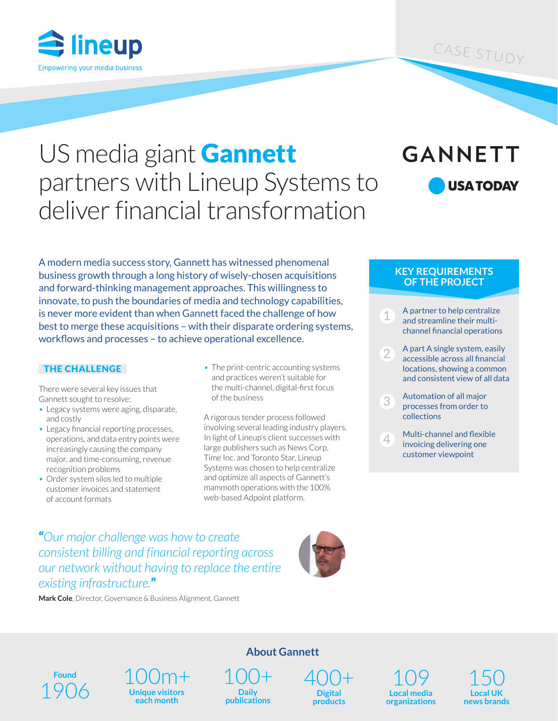

### CASE STUDY

# US media giant **Gannett** partners with Lineup Systems to deliver financial transformation

## **GANNETT USA TODAY**

A modern media success story, Gannett has witnessed phenomenal business growth through a long history of wisely-chosen acquisitions and forward-thinking management approaches. This willingness to innovate, to push the boundaries of media and technology capabilities, is never more evident than when Gannett faced the challenge of how best to merge these acquisitions – with their disparate ordering systems, workflows and processes – to achieve operational excellence.

#### THE CHALLENGE

There were several key issues that Gannett sought to resolve:

- Legacy systems were aging, disparate, and costly
- Legacy financial reporting processes, operations, and data entry points were increasingly causing the company major, and time-consuming, revenue recognition problems
- Order system silos led to multiple customer invoices and statement of account formats

• The print-centric accounting systems and practices weren't suitable for the multi-channel, digital-first focus of the business

A rigorous tender process followed involving several leading industry players. In light of Lineup's client successes with large publishers such as News Corp, Time Inc. and Toronto Star, Lineup Systems was chosen to help centralize and optimize all aspects of Gannett's mammoth operations with the 100% web-based Adpoint platform.

#### **KEY REQUIREMENTS OF THE PROJECT**

- A partner to help centralize and streamline their multichannel financial operations
- 2 A part A single system, easily accessible across all financial locations, showing a common and consistent view of all data
- 3 Automation of all major processes from order to collections
- 4 Multi-channel and flexible invoicing delivering one customer viewpoint

"*Our major challenge was how to create consistent billing and financial reporting across our network without having to replace the entire existing infrastructure.*"



**Mark Cole**, Director, Governance & Business Alignment, Gannett

**Found**

100m+ **Unique visitors each month** Found  $1906$   $\frac{100}{\frac{1}{2}}$   $\frac{100+}{\frac{1}{2}}$   $\frac{100+}{\frac{1}{2}}$ 

**Daily publications**

**About Gannett**

400+ **Digital** 

**products**

109 **Local media organizations**